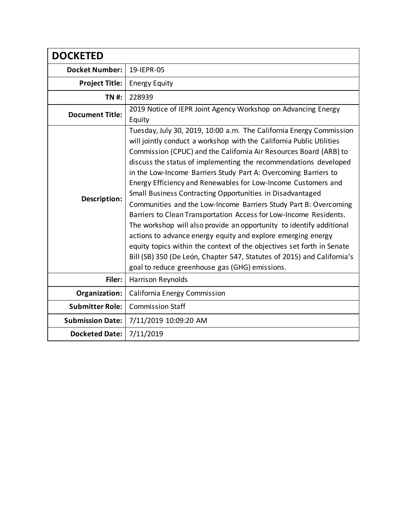| <b>DOCKETED</b>         |                                                                                                                                                                                                                                                                                                                                                                                                                                                                                                                                                                                                                                                                                                                                                                                                                                                                                                                                                                               |
|-------------------------|-------------------------------------------------------------------------------------------------------------------------------------------------------------------------------------------------------------------------------------------------------------------------------------------------------------------------------------------------------------------------------------------------------------------------------------------------------------------------------------------------------------------------------------------------------------------------------------------------------------------------------------------------------------------------------------------------------------------------------------------------------------------------------------------------------------------------------------------------------------------------------------------------------------------------------------------------------------------------------|
| <b>Docket Number:</b>   | 19-IEPR-05                                                                                                                                                                                                                                                                                                                                                                                                                                                                                                                                                                                                                                                                                                                                                                                                                                                                                                                                                                    |
| <b>Project Title:</b>   | <b>Energy Equity</b>                                                                                                                                                                                                                                                                                                                                                                                                                                                                                                                                                                                                                                                                                                                                                                                                                                                                                                                                                          |
| <b>TN#:</b>             | 228939                                                                                                                                                                                                                                                                                                                                                                                                                                                                                                                                                                                                                                                                                                                                                                                                                                                                                                                                                                        |
| <b>Document Title:</b>  | 2019 Notice of IEPR Joint Agency Workshop on Advancing Energy<br>Equity                                                                                                                                                                                                                                                                                                                                                                                                                                                                                                                                                                                                                                                                                                                                                                                                                                                                                                       |
| Description:            | Tuesday, July 30, 2019, 10:00 a.m. The California Energy Commission<br>will jointly conduct a workshop with the California Public Utilities<br>Commission (CPUC) and the California Air Resources Board (ARB) to<br>discuss the status of implementing the recommendations developed<br>in the Low-Income Barriers Study Part A: Overcoming Barriers to<br>Energy Efficiency and Renewables for Low-Income Customers and<br>Small Business Contracting Opportunities in Disadvantaged<br>Communities and the Low-Income Barriers Study Part B: Overcoming<br>Barriers to Clean Transportation Access for Low-Income Residents.<br>The workshop will also provide an opportunity to identify additional<br>actions to advance energy equity and explore emerging energy<br>equity topics within the context of the objectives set forth in Senate<br>Bill (SB) 350 (De León, Chapter 547, Statutes of 2015) and California's<br>goal to reduce greenhouse gas (GHG) emissions. |
| Filer:                  | Harrison Reynolds                                                                                                                                                                                                                                                                                                                                                                                                                                                                                                                                                                                                                                                                                                                                                                                                                                                                                                                                                             |
| Organization:           | California Energy Commission                                                                                                                                                                                                                                                                                                                                                                                                                                                                                                                                                                                                                                                                                                                                                                                                                                                                                                                                                  |
| <b>Submitter Role:</b>  | <b>Commission Staff</b>                                                                                                                                                                                                                                                                                                                                                                                                                                                                                                                                                                                                                                                                                                                                                                                                                                                                                                                                                       |
| <b>Submission Date:</b> | 7/11/2019 10:09:20 AM                                                                                                                                                                                                                                                                                                                                                                                                                                                                                                                                                                                                                                                                                                                                                                                                                                                                                                                                                         |
| <b>Docketed Date:</b>   | 7/11/2019                                                                                                                                                                                                                                                                                                                                                                                                                                                                                                                                                                                                                                                                                                                                                                                                                                                                                                                                                                     |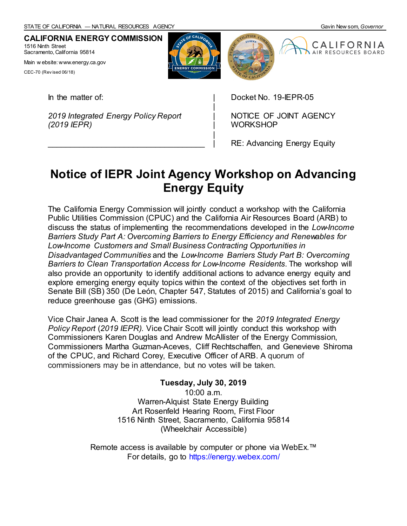**CALIFORNIA ENERGY COMMISSION** 1516 Ninth Street Sacramento, California 95814

Main w ebsite: www.energy.ca.gov

CEC-70 (Rev ised 06/18)

In the matter of:

*2019 Integrated Energy Policy Report (2019 IEPR)*

 $\mathcal{L}_\text{max}$  and  $\mathcal{L}_\text{max}$  and  $\mathcal{L}_\text{max}$  and  $\mathcal{L}_\text{max}$ 

Docket No. 19-IEPR-05

NOTICE OF JOINT AGENCY **WORKSHOP** 

RE: Advancing Energy Equity

# **Notice of IEPR Joint Agency Workshop on Advancing Energy Equity**

The California Energy Commission will jointly conduct a workshop with the California Public Utilities Commission (CPUC) and the California Air Resources Board (ARB) to discuss the status of implementing the recommendations developed in the *Low-Income Barriers Study Part A: Overcoming Barriers to Energy Efficiency and Renewables for Low-Income Customers and Small Business Contracting Opportunities in Disadvantaged Communities* and the *Low-Income Barriers Study Part B: Overcoming Barriers to Clean Transportation Access for Low-Income Residents*. The workshop will also provide an opportunity to identify additional actions to advance energy equity and explore emerging energy equity topics within the context of the objectives set forth in Senate Bill (SB) 350 (De León, Chapter 547, Statutes of 2015) and California's goal to reduce greenhouse gas (GHG) emissions.

Vice Chair Janea A. Scott is the lead commissioner for the *2019 Integrated Energy Policy Report* (*2019 IEPR).* Vice Chair Scott will jointly conduct this workshop with Commissioners Karen Douglas and Andrew McAllister of the Energy Commission, Commissioners Martha Guzman-Aceves, Cliff Rechtschaffen, and Genevieve Shiroma of the CPUC, and Richard Corey, Executive Officer of ARB. A quorum of commissioners may be in attendance, but no votes will be taken.

> **Tuesday, July 30, 2019** 10:00 a.m. Warren-Alquist State Energy Building Art Rosenfeld Hearing Room, First Floor 1516 Ninth Street, Sacramento, California 95814 (Wheelchair Accessible)

Remote access is available by computer or phone via WebEx.<sup>™</sup> For details, go t[o https://energy.webex.com/](https://energy.webex.com/)



| | | | | |

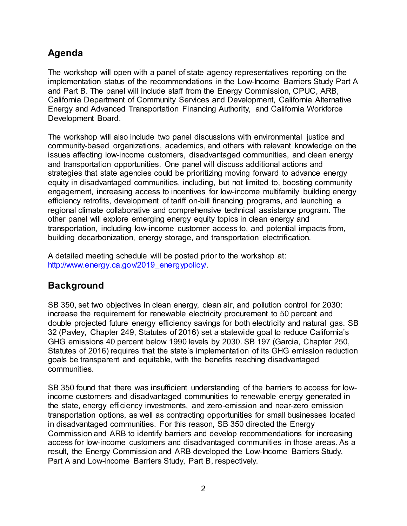# **Agenda**

The workshop will open with a panel of state agency representatives reporting on the implementation status of the recommendations in the Low-Income Barriers Study Part A and Part B. The panel will include staff from the Energy Commission, CPUC, ARB, California Department of Community Services and Development, California Alternative Energy and Advanced Transportation Financing Authority, and California Workforce Development Board.

The workshop will also include two panel discussions with environmental justice and community-based organizations, academics, and others with relevant knowledge on the issues affecting low-income customers, disadvantaged communities, and clean energy and transportation opportunities. One panel will discuss additional actions and strategies that state agencies could be prioritizing moving forward to advance energy equity in disadvantaged communities, including, but not limited to, boosting community engagement, increasing access to incentives for low-income multifamily building energy efficiency retrofits, development of tariff on-bill financing programs, and launching a regional climate collaborative and comprehensive technical assistance program. The other panel will explore emerging energy equity topics in clean energy and transportation, including low-income customer access to, and potential impacts from, building decarbonization, energy storage, and transportation electrification.

A detailed meeting schedule will be posted prior to the workshop at: [http://www.energy.ca.gov/2019\\_energypolicy/.](http://www.energy.ca.gov/2019_energypolicy/)

# **Background**

SB 350, set two objectives in clean energy, clean air, and pollution control for 2030: increase the requirement for renewable electricity procurement to 50 percent and double projected future energy efficiency savings for both electricity and natural gas. SB 32 (Pavley, Chapter 249, Statutes of 2016) set a statewide goal to reduce California's GHG emissions 40 percent below 1990 levels by 2030. SB 197 (Garcia, Chapter 250, Statutes of 2016) requires that the state's implementation of its GHG emission reduction goals be transparent and equitable, with the benefits reaching disadvantaged communities.

SB 350 found that there was insufficient understanding of the barriers to access for lowincome customers and disadvantaged communities to renewable energy generated in the state, energy efficiency investments, and zero-emission and near-zero emission transportation options, as well as contracting opportunities for small businesses located in disadvantaged communities. For this reason, SB 350 directed the Energy Commission and ARB to identify barriers and develop recommendations for increasing access for low-income customers and disadvantaged communities in those areas. As a result, the Energy Commission and ARB developed the Low-Income Barriers Study, Part A and Low-Income Barriers Study, Part B, respectively.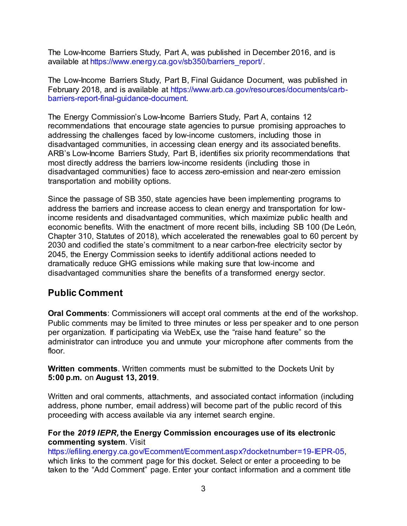The Low-Income Barriers Study, Part A, was published in December 2016, and is available at https://www.energy.ca.gov/sb350/barriers\_report/.

The Low-Income Barriers Study, Part B, Final Guidance Document, was published in February 2018, and is available at [https://www.arb.ca.gov/resources/documents/carb](https://www.arb.ca.gov/resources/documents/carb-barriers-report-final-guidance-document)[barriers-report-final-guidance-document.](https://www.arb.ca.gov/resources/documents/carb-barriers-report-final-guidance-document)

The Energy Commission's Low-Income Barriers Study, Part A, contains 12 recommendations that encourage state agencies to pursue promising approaches to addressing the challenges faced by low-income customers, including those in disadvantaged communities, in accessing clean energy and its associated benefits. ARB's Low-Income Barriers Study, Part B, identifies six priority recommendations that most directly address the barriers low-income residents (including those in disadvantaged communities) face to access zero-emission and near-zero emission transportation and mobility options.

Since the passage of SB 350, state agencies have been implementing programs to address the barriers and increase access to clean energy and transportation for lowincome residents and disadvantaged communities, which maximize public health and economic benefits. With the enactment of more recent bills, including SB 100 (De León, Chapter 310, Statutes of 2018), which accelerated the renewables goal to 60 percent by 2030 and codified the state's commitment to a near carbon-free electricity sector by 2045, the Energy Commission seeks to identify additional actions needed to dramatically reduce GHG emissions while making sure that low-income and disadvantaged communities share the benefits of a transformed energy sector.

# **Public Comment**

**Oral Comments**: Commissioners will accept oral comments at the end of the workshop. Public comments may be limited to three minutes or less per speaker and to one person per organization. If participating via WebEx, use the "raise hand feature" so the administrator can introduce you and unmute your microphone after comments from the floor.

**Written comments**. Written comments must be submitted to the Dockets Unit by **5:00 p.m.** on **August 13, 2019**.

Written and oral comments, attachments, and associated contact information (including address, phone number, email address) will become part of the public record of this proceeding with access available via any internet search engine.

#### **For the** *2019 IEPR,* **the Energy Commission encourages use of its electronic commenting system**. Visit

[https://efiling.energy.ca.gov/Ecomment/Ecomment.aspx?docketnumber=19-IEPR-05,](https://efiling.energy.ca.gov/Ecomment/Ecomment.aspx?docketnumber=19-IEPR-05) which links to the comment page for this docket. Select or enter a proceeding to be taken to the "Add Comment" page. Enter your contact information and a comment title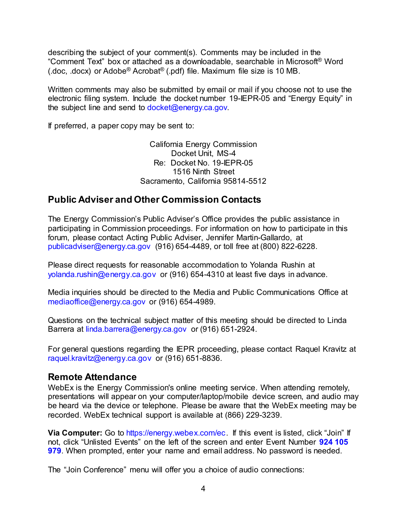describing the subject of your comment(s). Comments may be included in the "Comment Text" box or attached as a downloadable, searchable in Microsoft® Word (.doc, .docx) or Adobe® Acrobat® (.pdf) file. Maximum file size is 10 MB.

Written comments may also be submitted by email or mail if you choose not to use the electronic filing system. Include the docket number 19-IEPR-05 and "Energy Equity" in the subject line and send to [docket@energy.ca.gov.](mailto:docket@energy.ca.gov)

If preferred, a paper copy may be sent to:

California Energy Commission Docket Unit, MS-4 Re: Docket No. 19-IEPR-05 1516 Ninth Street Sacramento, California 95814-5512

### **Public Adviser and Other Commission Contacts**

The Energy Commission's Public Adviser's Office provides the public assistance in participating in Commission proceedings. For information on how to participate in this forum, please contact Acting Public Adviser, Jennifer Martin-Gallardo, at [publicadviser@energy.ca.gov](mailto:publicadviser@energy.ca.gov) (916) 654-4489, or toll free at (800) 822-6228.

Please direct requests for reasonable accommodation to Yolanda Rushin at [yolanda.rushin@energy.ca.gov](mailto:yolanda.rushin@energy.ca.gov) or (916) 654-4310 at least five days in advance.

Media inquiries should be directed to the Media and Public Communications Office at [mediaoffice@energy.ca.gov](mailto:mediaoffice@energy.ca.gov) or (916) 654-4989.

Questions on the technical subject matter of this meeting should be directed to Linda Barrera at linda.barrer[a@energy.ca.gov](mailto:XX@energy.ca.gov) or (916) 651-2924.

For general questions regarding the IEPR proceeding, please contact Raquel Kravitz at [raquel.kravitz@energy.ca.gov](mailto:raquel.kravitz@energy.ca.gov) or (916) 651-8836.

### **Remote Attendance**

WebEx is the Energy Commission's online meeting service. When attending remotely, presentations will appear on your computer/laptop/mobile device screen, and audio may be heard via the device or telephone. Please be aware that the WebEx meeting may be recorded. WebEx technical support is available at (866) 229-3239.

**Via Computer:** Go to [https://energy.webex.com/ec.](https://energy.webex.com/ec) If this event is listed, click "Join" If not, click "Unlisted Events" on the left of the screen and enter Event Number **924 105 979**. When prompted, enter your name and email address. No password is needed.

The "Join Conference" menu will offer you a choice of audio connections: